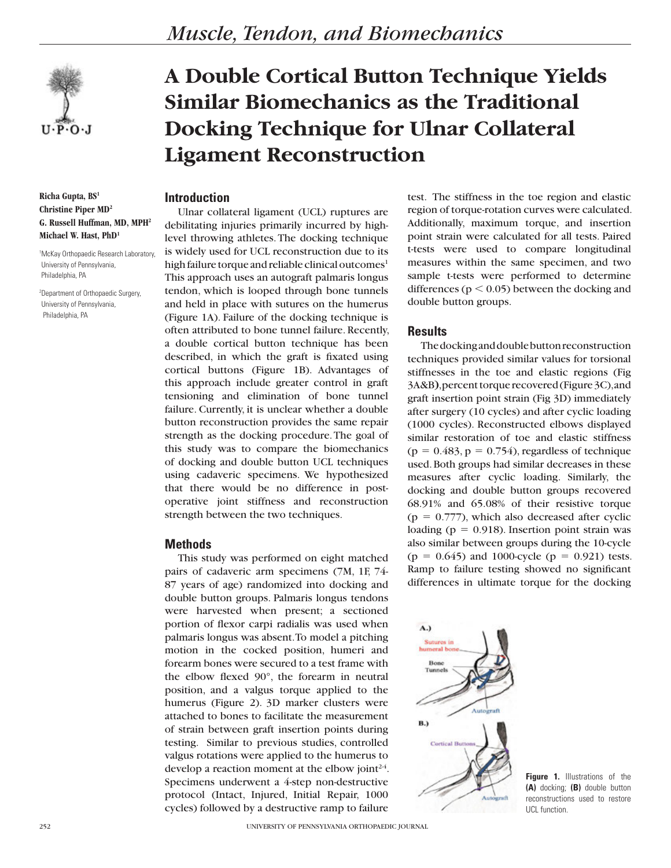

**Richa Gupta, BS1 Christine Piper MD2 G. Russell Huffman, MD, MPH2 Michael W. Hast, PhD1**

1 McKay Orthopaedic Research Laboratory, University of Pennsylvania, Philadelphia, PA

2 Department of Orthopaedic Surgery, University of Pennsylvania, Philadelphia, PA

# **A Double Cortical Button Technique Yields Similar Biomechanics as the Traditional Docking Technique for Ulnar Collateral Ligament Reconstruction**

# **Introduction**

Ulnar collateral ligament (UCL) ruptures are debilitating injuries primarily incurred by highlevel throwing athletes. The docking technique is widely used for UCL reconstruction due to its high failure torque and reliable clinical outcomes<sup>1</sup> This approach uses an autograft palmaris longus tendon, which is looped through bone tunnels and held in place with sutures on the humerus (Figure 1A). Failure of the docking technique is often attributed to bone tunnel failure. Recently, a double cortical button technique has been described, in which the graft is fixated using cortical buttons (Figure 1B). Advantages of this approach include greater control in graft tensioning and elimination of bone tunnel failure. Currently, it is unclear whether a double button reconstruction provides the same repair strength as the docking procedure. The goal of this study was to compare the biomechanics of docking and double button UCL techniques using cadaveric specimens. We hypothesized that there would be no difference in postoperative joint stiffness and reconstruction strength between the two techniques.

# **Methods**

This study was performed on eight matched pairs of cadaveric arm specimens (7M, 1F, 74- 87 years of age) randomized into docking and double button groups. Palmaris longus tendons were harvested when present; a sectioned portion of flexor carpi radialis was used when palmaris longus was absent. To model a pitching motion in the cocked position, humeri and forearm bones were secured to a test frame with the elbow flexed 90°, the forearm in neutral position, and a valgus torque applied to the humerus (Figure 2). 3D marker clusters were attached to bones to facilitate the measurement of strain between graft insertion points during testing. Similar to previous studies, controlled valgus rotations were applied to the humerus to develop a reaction moment at the elbow joint<sup> $24$ </sup>. Specimens underwent a 4-step non-destructive protocol (Intact, Injured, Initial Repair, 1000 cycles) followed by a destructive ramp to failure

test. The stiffness in the toe region and elastic region of torque-rotation curves were calculated. Additionally, maximum torque, and insertion point strain were calculated for all tests. Paired t-tests were used to compare longitudinal measures within the same specimen, and two sample t-tests were performed to determine differences ( $p < 0.05$ ) between the docking and double button groups.

#### **Results**

The docking and double button reconstruction techniques provided similar values for torsional stiffnesses in the toe and elastic regions (Fig 3A&B**)**, percent torque recovered (Figure 3C), and graft insertion point strain (Fig 3D) immediately after surgery (10 cycles) and after cyclic loading (1000 cycles). Reconstructed elbows displayed similar restoration of toe and elastic stiffness  $(p = 0.483, p = 0.754)$ , regardless of technique used. Both groups had similar decreases in these measures after cyclic loading. Similarly, the docking and double button groups recovered 68.91% and 65.08% of their resistive torque  $(p = 0.777)$ , which also decreased after cyclic loading ( $p = 0.918$ ). Insertion point strain was also similar between groups during the 10-cycle  $(p = 0.645)$  and 1000-cycle  $(p = 0.921)$  tests. Ramp to failure testing showed no significant differences in ultimate torque for the docking



**Figure 1.** Illustrations of the **(A)** docking; **(B)** double button reconstructions used to restore UCL function.